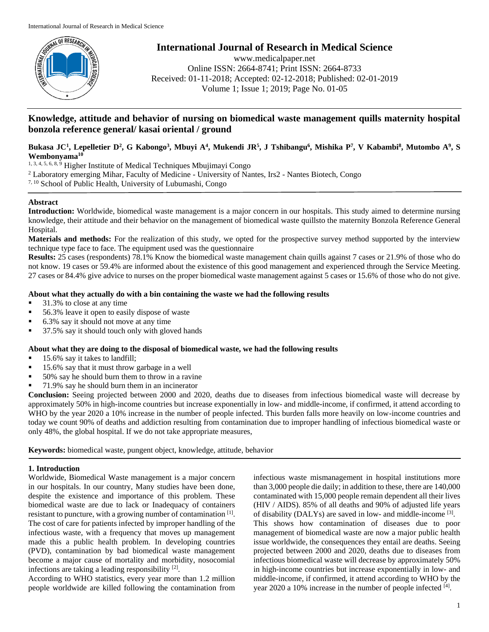

# **International Journal of Research in Medical Science**

www.medicalpaper.net Online ISSN: 2664-8741; Print ISSN: 2664-8733 Received: 01-11-2018; Accepted: 02-12-2018; Published: 02-01-2019 Volume 1; Issue 1; 2019; Page No. 01-05

# **Knowledge, attitude and behavior of nursing on biomedical waste management quills maternity hospital bonzola reference general/ kasai oriental / ground**

# Bukasa JC<sup>1</sup>, Lepelletier D<sup>2</sup>, G Kabongo<sup>3</sup>, Mbuyi A<sup>4</sup>, Mukendi JR<sup>5</sup>, J Tshibangu<sup>6</sup>, Mishika P<sup>7</sup>, V Kabambi<sup>8</sup>, Mutombo A<sup>9</sup>, S **Wembonyama<sup>10</sup>**

1, 3, 4, 5, 6, 8, 9 Higher Institute of Medical Techniques Mbujimayi Congo

- <sup>2</sup> Laboratory emerging Mihar, Faculty of Medicine University of Nantes, Irs2 Nantes Biotech, Congo
- 7, 10 School of Public Health, University of Lubumashi, Congo

### **Abstract**

**Introduction:** Worldwide, biomedical waste management is a major concern in our hospitals. This study aimed to determine nursing knowledge, their attitude and their behavior on the management of biomedical waste quillsto the maternity Bonzola Reference General Hospital.

**Materials and methods:** For the realization of this study, we opted for the prospective survey method supported by the interview technique type face to face. The equipment used was the questionnaire

**Results:** 25 cases (respondents) 78.1% Know the biomedical waste management chain quills against 7 cases or 21.9% of those who do not know. 19 cases or 59.4% are informed about the existence of this good management and experienced through the Service Meeting. 27 cases or 84.4% give advice to nurses on the proper biomedical waste management against 5 cases or 15.6% of those who do not give.

# **About what they actually do with a bin containing the waste we had the following results**

- 31.3% to close at any time
- 56.3% leave it open to easily dispose of waste
- 6.3% say it should not move at any time
- 37.5% say it should touch only with gloved hands

# **About what they are doing to the disposal of biomedical waste, we had the following results**

- 15.6% say it takes to landfill;
- 15.6% say that it must throw garbage in a well
- 50% say he should burn them to throw in a ravine
- 71.9% say he should burn them in an incinerator

**Conclusion:** Seeing projected between 2000 and 2020, deaths due to diseases from infectious biomedical waste will decrease by approximately 50% in high-income countries but increase exponentially in low- and middle-income, if confirmed, it attend according to WHO by the year 2020 a 10% increase in the number of people infected. This burden falls more heavily on low-income countries and today we count 90% of deaths and addiction resulting from contamination due to improper handling of infectious biomedical waste or only 48%, the global hospital. If we do not take appropriate measures,

**Keywords:** biomedical waste, pungent object, knowledge, attitude, behavior

# **1. Introduction**

Worldwide, Biomedical Waste management is a major concern in our hospitals. In our country, Many studies have been done, despite the existence and importance of this problem. These biomedical waste are due to lack or Inadequacy of containers resistant to puncture, with a growing number of contamination [1]. The cost of care for patients infected by improper handling of the infectious waste, with a frequency that moves up management made this a public health problem. In developing countries (PVD), contamination by bad biomedical waste management become a major cause of mortality and morbidity, nosocomial infections are taking a leading responsibility [2].

According to WHO statistics, every year more than 1.2 million people worldwide are killed following the contamination from infectious waste mismanagement in hospital institutions more than 3,000 people die daily; in addition to these, there are 140,000 contaminated with 15,000 people remain dependent all their lives (HIV / AIDS). 85% of all deaths and 90% of adjusted life years of disability (DALYs) are saved in low- and middle-income<sup>[3]</sup>. This shows how contamination of diseases due to poor management of biomedical waste are now a major public health issue worldwide, the consequences they entail are deaths. Seeing projected between 2000 and 2020, deaths due to diseases from infectious biomedical waste will decrease by approximately 50% in high-income countries but increase exponentially in low- and middle-income, if confirmed, it attend according to WHO by the year 2020 a 10% increase in the number of people infected [4].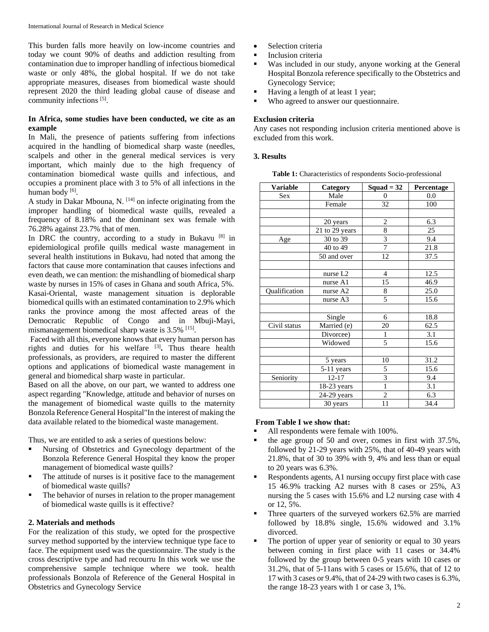This burden falls more heavily on low-income countries and today we count 90% of deaths and addiction resulting from contamination due to improper handling of infectious biomedical waste or only 48%, the global hospital. If we do not take appropriate measures, diseases from biomedical waste should represent 2020 the third leading global cause of disease and community infections [5].

## **In Africa, some studies have been conducted, we cite as an example**

In Mali, the presence of patients suffering from infections acquired in the handling of biomedical sharp waste (needles, scalpels and other in the general medical services is very important, which mainly due to the high frequency of contamination biomedical waste quills and infectious, and occupies a prominent place with 3 to 5% of all infections in the human body [6].

A study in Dakar Mbouna, N. [14] on infecte originating from the improper handling of biomedical waste quills, revealed a frequency of 8.18% and the dominant sex was female with 76.28% against 23.7% that of men.

In DRC the country, according to a study in Bukavu  $[8]$  in epidemiological profile quills medical waste management in several health institutions in Bukavu, had noted that among the factors that cause more contamination that causes infections and even death, we can mention: the mishandling of biomedical sharp waste by nurses in 15% of cases in Ghana and south Africa, 5%. Kasai-Oriental, waste management situation is deplorable biomedical quills with an estimated contamination to 2.9% which ranks the province among the most affected areas of the Democratic Republic of Congo and in Mbuji-Mayi, mismanagement biomedical sharp waste is 3.5% [15].

Faced with all this, everyone knows that every human person has rights and duties for his welfare [3] **.** Thus theare health professionals, as providers, are required to master the different options and applications of biomedical waste management in general and biomedical sharp waste in particular.

Based on all the above, on our part, we wanted to address one aspect regarding "Knowledge, attitude and behavior of nurses on the management of biomedical waste quills to the maternity Bonzola Reference General Hospital"In the interest of making the data available related to the biomedical waste management.

Thus, we are entitled to ask a series of questions below:

- Nursing of Obstetrics and Gynecology department of the Bonzola Reference General Hospital they know the proper management of biomedical waste quills?
- The attitude of nurses is it positive face to the management of biomedical waste quills?
- The behavior of nurses in relation to the proper management of biomedical waste quills is it effective?

#### **2. Materials and methods**

For the realization of this study, we opted for the prospective survey method supported by the interview technique type face to face. The equipment used was the questionnaire. The study is the cross descriptive type and had recourru In this work we use the comprehensive sample technique where we took. health professionals Bonzola of Reference of the General Hospital in Obstetrics and Gynecology Service

- Selection criteria
- Inclusion criteria
- Was included in our study, anyone working at the General Hospital Bonzola reference specifically to the Obstetrics and Gynecology Service;
- Having a length of at least 1 year;
- Who agreed to answer our questionnaire.

#### **Exclusion criteria**

Any cases not responding inclusion criteria mentioned above is excluded from this work.

#### **3. Results**

**Table 1:** Characteristics of respondents Socio-professional

| <b>Variable</b> | Category                        | Squad $=$ 32            | Percentage |
|-----------------|---------------------------------|-------------------------|------------|
| <b>Sex</b>      | Male                            | $\overline{0}$          | 0.0        |
|                 | Female                          | 32                      | 100        |
|                 |                                 |                         |            |
|                 | 20 years                        | $\overline{c}$          | 6.3        |
|                 | 21 to 29 years                  | $\sqrt{8}$              | 25         |
| Age             | 30 to 39                        | $\overline{\mathbf{3}}$ | 9.4        |
|                 | 40 to 49                        | $\overline{7}$          | 21.8       |
|                 | 50 and over                     | 12                      | 37.5       |
|                 |                                 |                         |            |
|                 | nurse L <sub>2</sub>            | 4                       | 12.5       |
|                 | nurse A1                        | 15                      | 46.9       |
| Qualification   | nurse A2                        | 8                       | 25.0       |
|                 | nurse A3                        | 5                       | 15.6       |
|                 |                                 |                         |            |
|                 | Single                          | 6                       | 18.8       |
| Civil status    | $\overline{\text{Married}}$ (e) | 20                      | 62.5       |
|                 | Divorcee)                       | $\mathbf{1}$            | 3.1        |
|                 | Widowed                         | 5                       | 15.6       |
|                 |                                 |                         |            |
|                 | 5 years                         | 10                      | 31.2       |
|                 | 5-11 years                      | 5                       | 15.6       |
| Seniority       | $12 - 17$                       | $\overline{\mathbf{3}}$ | 9.4        |
|                 | $18-23$ years                   | $\overline{1}$          | 3.1        |
|                 | 24-29 years                     | $\overline{c}$          | 6.3        |
|                 | 30 years                        | 11                      | 34.4       |

#### **From Table I we show that:**

- All respondents were female with 100%.
- the age group of 50 and over, comes in first with 37.5%, followed by 21-29 years with 25%, that of 40-49 years with 21.8%, that of 30 to 39% with 9, 4% and less than or equal to 20 years was 6.3%.
- Respondents agents, A1 nursing occupy first place with case 15 46.9% tracking A2 nurses with 8 cases or 25%, A3 nursing the 5 cases with 15.6% and L2 nursing case with 4 or 12, 5%.
- Three quarters of the surveyed workers 62.5% are married followed by 18.8% single, 15.6% widowed and 3.1% divorced.
- The portion of upper year of seniority or equal to 30 years between coming in first place with 11 cases or 34.4% followed by the group between 0-5 years with 10 cases or 31.2%, that of 5-11ans with 5 cases or 15.6%, that of 12 to 17 with 3 cases or 9.4%, that of 24-29 with two cases is 6.3%, the range 18-23 years with 1 or case 3, 1%.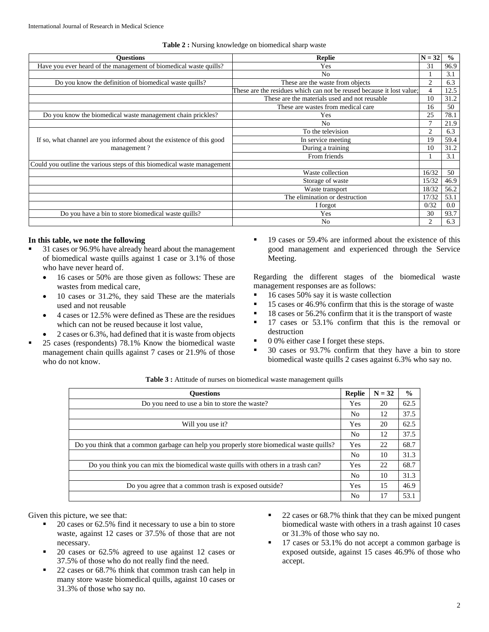| <b>Ouestions</b>                                                         | $N = 32$<br><b>Replie</b>                                             |                | $\frac{0}{0}$ |
|--------------------------------------------------------------------------|-----------------------------------------------------------------------|----------------|---------------|
| Have you ever heard of the management of biomedical waste quills?<br>Yes |                                                                       | 31             | 96.9          |
|                                                                          | N <sub>0</sub>                                                        |                | 3.1           |
| Do you know the definition of biomedical waste quills?                   | These are the waste from objects                                      |                | 6.3           |
|                                                                          | These are the residues which can not be reused because it lost value; |                | 12.5          |
|                                                                          | These are the materials used and not reusable                         | 10             | 31.2          |
|                                                                          | These are wastes from medical care                                    | 16             | 50            |
| Do you know the biomedical waste management chain prickles?              | Yes                                                                   |                | 78.1          |
|                                                                          | N <sub>0</sub>                                                        |                | 21.9          |
|                                                                          | To the television                                                     | $\overline{2}$ | 6.3           |
| If so, what channel are you informed about the existence of this good    | In service meeting                                                    | 19             | 59.4          |
| management?                                                              | During a training                                                     | 10             | 31.2          |
|                                                                          | From friends                                                          |                | 3.1           |
| Could you outline the various steps of this biomedical waste management  |                                                                       |                |               |
|                                                                          | Waste collection                                                      | 16/32          | 50            |
|                                                                          | Storage of waste                                                      | 15/32          | 46.9          |
|                                                                          | Waste transport                                                       | 18/32          | 56.2          |
|                                                                          | The elimination or destruction                                        | 17/32          | 53.1          |
|                                                                          | I forgot                                                              | 0/32           | 0.0           |
| Do you have a bin to store biomedical waste quills?                      | Yes                                                                   | 30             | 93.7          |
|                                                                          | N <sub>0</sub>                                                        | $\overline{c}$ | 6.3           |

#### **Table 2 :** Nursing knowledge on biomedical sharp waste

#### **In this table, we note the following**

- 31 cases or 96.9% have already heard about the management of biomedical waste quills against 1 case or 3.1% of those who have never heard of.
	- 16 cases or 50% are those given as follows: These are wastes from medical care,
	- 10 cases or 31.2%, they said These are the materials used and not reusable
- 4 cases or 12.5% were defined as These are the residues which can not be reused because it lost value,
- 2 cases or 6.3%, had defined that it is waste from objects
- 25 cases (respondents) 78.1% Know the biomedical waste management chain quills against 7 cases or 21.9% of those who do not know.

 19 cases or 59.4% are informed about the existence of this good management and experienced through the Service Meeting.

Regarding the different stages of the biomedical waste management responses are as follows:

- $\blacksquare$  16 cases 50% say it is waste collection
- $\blacksquare$  15 cases or 46.9% confirm that this is the storage of waste
- <sup>18</sup> cases or 56.2% confirm that it is the transport of waste
- 17 cases or 53.1% confirm that this is the removal or destruction
- $\blacksquare$  0 0% either case I forget these steps.
- <sup>30</sup> cases or 93.7% confirm that they have a bin to store biomedical waste quills 2 cases against 6.3% who say no.

| <b>Ouestions</b>                                                                        | <b>Replie</b>  | $N = 32$ | $\frac{0}{0}$ |
|-----------------------------------------------------------------------------------------|----------------|----------|---------------|
| Do you need to use a bin to store the waste?                                            | Yes            | 20       | 62.5          |
|                                                                                         | N <sub>0</sub> | 12       | 37.5          |
| Will you use it?                                                                        | Yes            | 20       | 62.5          |
|                                                                                         | No             | 12       | 37.5          |
| Do you think that a common garbage can help you properly store biomedical waste quills? | Yes            | 22       | 68.7          |
|                                                                                         | No             | 10       | 31.3          |
| Do you think you can mix the biomedical waste quills with others in a trash can?        |                | 22       | 68.7          |
|                                                                                         | No             | 10       | 31.3          |
| Do you agree that a common trash is exposed outside?                                    |                | 15       | 46.9          |
|                                                                                         | No             | 17       | 53.1          |

|  |  | <b>Table 3 :</b> Attitude of nurses on biomedical waste management quills |  |
|--|--|---------------------------------------------------------------------------|--|
|  |  |                                                                           |  |

Given this picture, we see that:

- 20 cases or 62.5% find it necessary to use a bin to store waste, against 12 cases or 37.5% of those that are not necessary.
- 20 cases or 62.5% agreed to use against 12 cases or 37.5% of those who do not really find the need.
- 22 cases or 68.7% think that common trash can help in many store waste biomedical quills, against 10 cases or 31.3% of those who say no.
- 22 cases or 68.7% think that they can be mixed pungent biomedical waste with others in a trash against 10 cases or 31.3% of those who say no.
- 17 cases or 53.1% do not accept a common garbage is exposed outside, against 15 cases 46.9% of those who accept.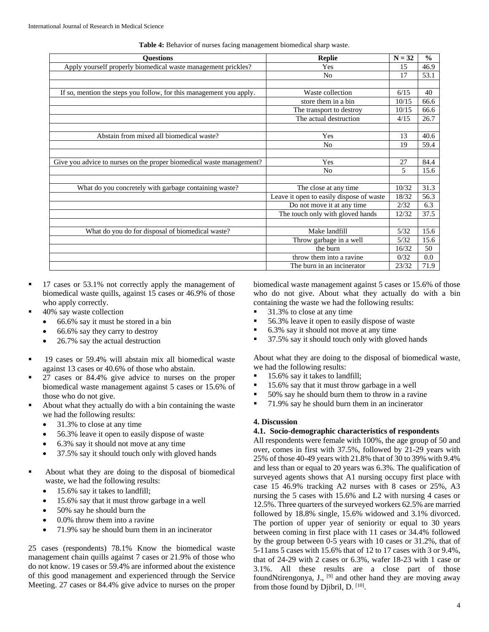| <b>Ouestions</b>                                                     | <b>Replie</b>                            | $N = 32$ | $\frac{0}{0}$ |
|----------------------------------------------------------------------|------------------------------------------|----------|---------------|
| Apply yourself properly biomedical waste management prickles?        | Yes                                      | 15       | 46.9          |
|                                                                      | N <sub>0</sub>                           | 17       | 53.1          |
|                                                                      |                                          |          |               |
| If so, mention the steps you follow, for this management you apply.  | Waste collection                         | 6/15     | 40            |
|                                                                      | store them in a bin                      | 10/15    | 66.6          |
|                                                                      | The transport to destroy                 | 10/15    | 66.6          |
|                                                                      | The actual destruction                   | 4/15     | 26.7          |
|                                                                      |                                          |          |               |
| Abstain from mixed all biomedical waste?                             | Yes                                      | 13       | 40.6          |
|                                                                      | N <sub>0</sub>                           | 19       | 59.4          |
|                                                                      |                                          |          |               |
| Give you advice to nurses on the proper biomedical waste management? | Yes                                      | 27       | 84.4          |
|                                                                      | N <sub>0</sub>                           | 5        | 15.6          |
|                                                                      |                                          |          |               |
| What do you concretely with garbage containing waste?                | The close at any time.                   | 10/32    | 31.3          |
|                                                                      | Leave it open to easily dispose of waste | 18/32    | 56.3          |
|                                                                      | Do not move it at any time               | 2/32     | 6.3           |
|                                                                      | The touch only with gloved hands         | 12/32    | 37.5          |
|                                                                      |                                          |          |               |
| What do you do for disposal of biomedical waste?                     | Make landfill                            | 5/32     | 15.6          |
|                                                                      | Throw garbage in a well                  | 5/32     | 15.6          |
|                                                                      | the burn                                 | 16/32    | 50            |
|                                                                      | throw them into a ravine                 | 0/32     | 0.0           |
|                                                                      | The burn in an incinerator               | 23/32    | 71.9          |

**Table 4:** Behavior of nurses facing management biomedical sharp waste.

- <sup>17</sup> cases or 53.1% not correctly apply the management of biomedical waste quills, against 15 cases or 46.9% of those who apply correctly.
- 40% say waste collection
	- 66.6% say it must be stored in a bin
	- 66.6% say they carry to destroy
	- 26.7% say the actual destruction
- 19 cases or 59.4% will abstain mix all biomedical waste against 13 cases or 40.6% of those who abstain.
- 27 cases or 84.4% give advice to nurses on the proper biomedical waste management against 5 cases or 15.6% of those who do not give.
- About what they actually do with a bin containing the waste we had the following results:
	- 31.3% to close at any time
	- 56.3% leave it open to easily dispose of waste
	- 6.3% say it should not move at any time
	- 37.5% say it should touch only with gloved hands
- About what they are doing to the disposal of biomedical waste, we had the following results:
	- 15.6% say it takes to landfill;
	- 15.6% say that it must throw garbage in a well
	- 50% say he should burn the
	- 0.0% throw them into a ravine
	- 71.9% say he should burn them in an incinerator

25 cases (respondents) 78.1% Know the biomedical waste management chain quills against 7 cases or 21.9% of those who do not know. 19 cases or 59.4% are informed about the existence of this good management and experienced through the Service Meeting. 27 cases or 84.4% give advice to nurses on the proper

biomedical waste management against 5 cases or 15.6% of those who do not give. About what they actually do with a bin containing the waste we had the following results:

- 31.3% to close at any time
- 56.3% leave it open to easily dispose of waste
- 6.3% say it should not move at any time
- 37.5% say it should touch only with gloved hands

About what they are doing to the disposal of biomedical waste, we had the following results:

- 15.6% say it takes to landfill;
- 15.6% say that it must throw garbage in a well
- 50% say he should burn them to throw in a ravine
- 71.9% say he should burn them in an incinerator

#### **4. Discussion**

#### **4.1. Socio-demographic characteristics of respondents**

All respondents were female with 100%, the age group of 50 and over, comes in first with 37.5%, followed by 21-29 years with 25% of those 40-49 years with 21.8% that of 30 to 39% with 9.4% and less than or equal to 20 years was 6.3%. The qualification of surveyed agents shows that A1 nursing occupy first place with case 15 46.9% tracking A2 nurses with 8 cases or 25%, A3 nursing the 5 cases with 15.6% and L2 with nursing 4 cases or 12.5%. Three quarters of the surveyed workers 62.5% are married followed by 18.8% single, 15.6% widowed and 3.1% divorced. The portion of upper year of seniority or equal to 30 years between coming in first place with 11 cases or 34.4% followed by the group between 0-5 years with 10 cases or 31.2%, that of 5-11ans 5 cases with 15.6% that of 12 to 17 cases with 3 or 9.4%, that of 24-29 with 2 cases or 6.3%, wafer 18-23 with 1 case or 3.1%. All these results are a close part of those foundNtirengonya, J., [9] and other hand they are moving away from those found by Djibril, D.  $[10]$ .